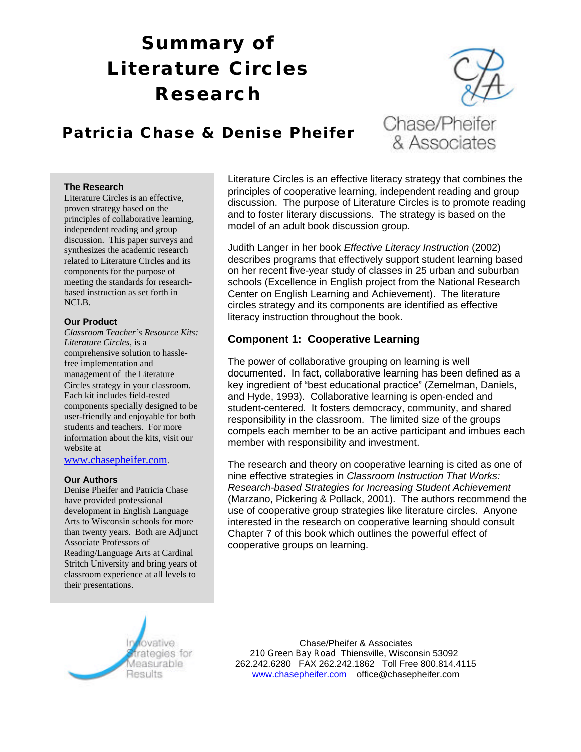# **Summary of Literature Circles Research**



## **Patricia Chase & Denise Pheifer**

#### **The Research**

Literature Circles is an effective, proven strategy based on the principles of collaborative learning, independent reading and group discussion. This paper surveys and synthesizes the academic research related to Literature Circles and its components for the purpose of meeting the standards for researchbased instruction as set forth in NCLB.

#### **Our Product**

*Classroom Teacher's Resource Kits: Literature Circles*, is a comprehensive solution to hasslefree implementation and management of the Literature Circles strategy in your classroom. Each kit includes field-tested components specially designed to be user-friendly and enjoyable for both students and teachers. For more information about the kits, visit our website at

#### www.chasepheifer.com.

#### **Our Authors**

Denise Pheifer and Patricia Chase have provided professional development in English Language Arts to Wisconsin schools for more than twenty years. Both are Adjunct Associate Professors of Reading/Language Arts at Cardinal Stritch University and bring years of classroom experience at all levels to their presentations.

Literature Circles is an effective literacy strategy that combines the principles of cooperative learning, independent reading and group discussion. The purpose of Literature Circles is to promote reading and to foster literary discussions. The strategy is based on the model of an adult book discussion group.

Judith Langer in her book *Effective Literacy Instruction* (2002) describes programs that effectively support student learning based on her recent five-year study of classes in 25 urban and suburban schools (Excellence in English project from the National Research Center on English Learning and Achievement). The literature circles strategy and its components are identified as effective literacy instruction throughout the book.

### **Component 1: Cooperative Learning**

The power of collaborative grouping on learning is well documented. In fact, collaborative learning has been defined as a key ingredient of "best educational practice" (Zemelman, Daniels, and Hyde, 1993). Collaborative learning is open-ended and student-centered. It fosters democracy, community, and shared responsibility in the classroom. The limited size of the groups compels each member to be an active participant and imbues each member with responsibility and investment.

The research and theory on cooperative learning is cited as one of nine effective strategies in *Classroom Instruction That Works: Research-based Strategies for Increasing Student Achievement* (Marzano, Pickering & Pollack, 2001). The authors recommend the use of cooperative group strategies like literature circles. Anyone interested in the research on cooperative learning should consult Chapter 7 of this book which outlines the powerful effect of cooperative groups on learning.



Chase/Pheifer & Associates 210 Green Bay Road Thiensville, Wisconsin 53092 262.242.6280 FAX 262.242.1862 Toll Free 800.814.4115 www.chasepheifer.com office@chasepheifer.com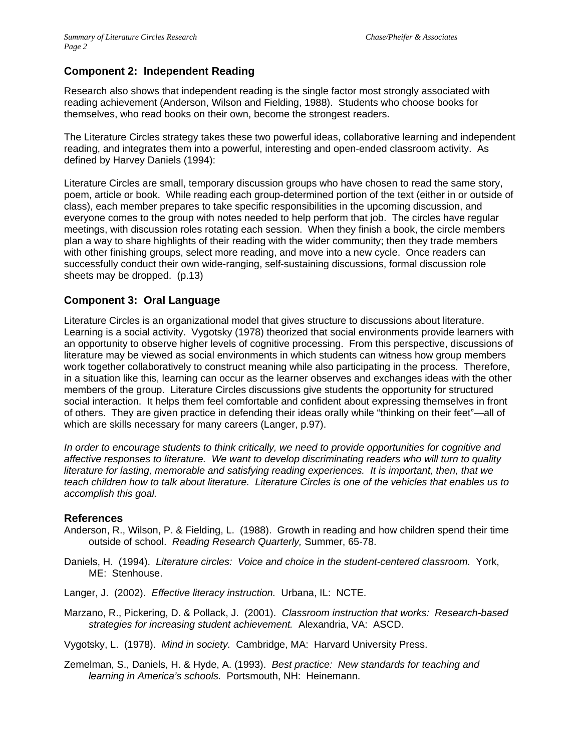### **Component 2: Independent Reading**

Research also shows that independent reading is the single factor most strongly associated with reading achievement (Anderson, Wilson and Fielding, 1988). Students who choose books for themselves, who read books on their own, become the strongest readers.

The Literature Circles strategy takes these two powerful ideas, collaborative learning and independent reading, and integrates them into a powerful, interesting and open-ended classroom activity. As defined by Harvey Daniels (1994):

Literature Circles are small, temporary discussion groups who have chosen to read the same story, poem, article or book. While reading each group-determined portion of the text (either in or outside of class), each member prepares to take specific responsibilities in the upcoming discussion, and everyone comes to the group with notes needed to help perform that job. The circles have regular meetings, with discussion roles rotating each session. When they finish a book, the circle members plan a way to share highlights of their reading with the wider community; then they trade members with other finishing groups, select more reading, and move into a new cycle. Once readers can successfully conduct their own wide-ranging, self-sustaining discussions, formal discussion role sheets may be dropped. (p.13)

### **Component 3: Oral Language**

Literature Circles is an organizational model that gives structure to discussions about literature. Learning is a social activity. Vygotsky (1978) theorized that social environments provide learners with an opportunity to observe higher levels of cognitive processing. From this perspective, discussions of literature may be viewed as social environments in which students can witness how group members work together collaboratively to construct meaning while also participating in the process. Therefore, in a situation like this, learning can occur as the learner observes and exchanges ideas with the other members of the group. Literature Circles discussions give students the opportunity for structured social interaction. It helps them feel comfortable and confident about expressing themselves in front of others. They are given practice in defending their ideas orally while "thinking on their feet"—all of which are skills necessary for many careers (Langer, p.97).

*In order to encourage students to think critically, we need to provide opportunities for cognitive and affective responses to literature. We want to develop discriminating readers who will turn to quality literature for lasting, memorable and satisfying reading experiences. It is important, then, that we teach children how to talk about literature. Literature Circles is one of the vehicles that enables us to accomplish this goal.*

#### **References**

- Anderson, R., Wilson, P. & Fielding, L. (1988). Growth in reading and how children spend their time outside of school. *Reading Research Quarterly,* Summer, 65-78.
- Daniels, H. (1994). *Literature circles: Voice and choice in the student-centered classroom.* York, ME: Stenhouse.
- Langer, J. (2002). *Effective literacy instruction.* Urbana, IL: NCTE.

Marzano, R., Pickering, D. & Pollack, J. (2001). *Classroom instruction that works: Research-based strategies for increasing student achievement.* Alexandria, VA: ASCD.

Vygotsky, L. (1978). *Mind in society.* Cambridge, MA: Harvard University Press.

Zemelman, S., Daniels, H. & Hyde, A. (1993). *Best practice: New standards for teaching and learning in America's schools.* Portsmouth, NH: Heinemann.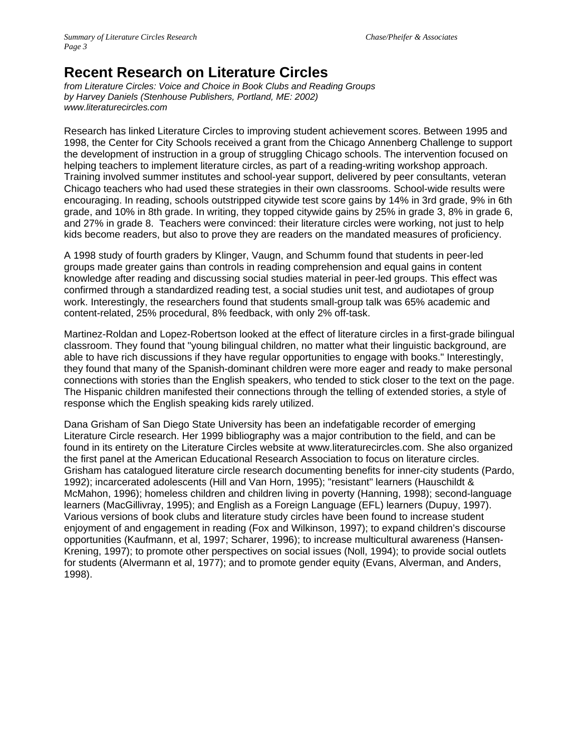# **Recent Research on Literature Circles**

*from Literature Circles: Voice and Choice in Book Clubs and Reading Groups by Harvey Daniels (Stenhouse Publishers, Portland, ME: 2002) www.literaturecircles.com*

Research has linked Literature Circles to improving student achievement scores. Between 1995 and 1998, the Center for City Schools received a grant from the Chicago Annenberg Challenge to support the development of instruction in a group of struggling Chicago schools. The intervention focused on helping teachers to implement literature circles, as part of a reading-writing workshop approach. Training involved summer institutes and school-year support, delivered by peer consultants, veteran Chicago teachers who had used these strategies in their own classrooms. School-wide results were encouraging. In reading, schools outstripped citywide test score gains by 14% in 3rd grade, 9% in 6th grade, and 10% in 8th grade. In writing, they topped citywide gains by 25% in grade 3, 8% in grade 6, and 27% in grade 8. Teachers were convinced: their literature circles were working, not just to help kids become readers, but also to prove they are readers on the mandated measures of proficiency.

A 1998 study of fourth graders by Klinger, Vaugn, and Schumm found that students in peer-led groups made greater gains than controls in reading comprehension and equal gains in content knowledge after reading and discussing social studies material in peer-led groups. This effect was confirmed through a standardized reading test, a social studies unit test, and audiotapes of group work. Interestingly, the researchers found that students small-group talk was 65% academic and content-related, 25% procedural, 8% feedback, with only 2% off-task.

Martinez-Roldan and Lopez-Robertson looked at the effect of literature circles in a first-grade bilingual classroom. They found that "young bilingual children, no matter what their linguistic background, are able to have rich discussions if they have regular opportunities to engage with books." Interestingly, they found that many of the Spanish-dominant children were more eager and ready to make personal connections with stories than the English speakers, who tended to stick closer to the text on the page. The Hispanic children manifested their connections through the telling of extended stories, a style of response which the English speaking kids rarely utilized.

Dana Grisham of San Diego State University has been an indefatigable recorder of emerging Literature Circle research. Her 1999 bibliography was a major contribution to the field, and can be found in its entirety on the Literature Circles website at www.literaturecircles.com. She also organized the first panel at the American Educational Research Association to focus on literature circles. Grisham has catalogued literature circle research documenting benefits for inner-city students (Pardo, 1992); incarcerated adolescents (Hill and Van Horn, 1995); "resistant" learners (Hauschildt & McMahon, 1996); homeless children and children living in poverty (Hanning, 1998); second-language learners (MacGillivray, 1995); and English as a Foreign Language (EFL) learners (Dupuy, 1997). Various versions of book clubs and literature study circles have been found to increase student enjoyment of and engagement in reading (Fox and Wilkinson, 1997); to expand children's discourse opportunities (Kaufmann, et al, 1997; Scharer, 1996); to increase multicultural awareness (Hansen-Krening, 1997); to promote other perspectives on social issues (Noll, 1994); to provide social outlets for students (Alvermann et al, 1977); and to promote gender equity (Evans, Alverman, and Anders, 1998).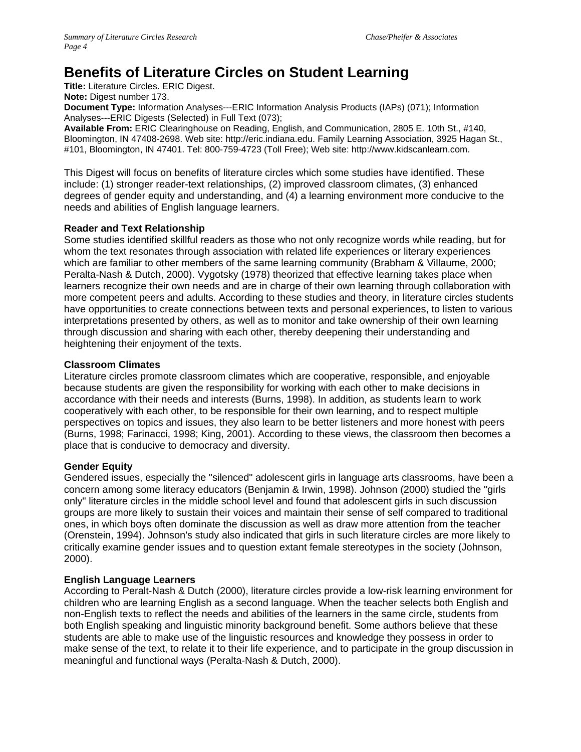# **Benefits of Literature Circles on Student Learning**

**Title:** Literature Circles. ERIC Digest.

**Note:** Digest number 173.

**Document Type:** Information Analyses---ERIC Information Analysis Products (IAPs) (071); Information Analyses---ERIC Digests (Selected) in Full Text (073);

**Available From:** ERIC Clearinghouse on Reading, English, and Communication, 2805 E. 10th St., #140, Bloomington, IN 47408-2698. Web site: http://eric.indiana.edu. Family Learning Association, 3925 Hagan St., #101, Bloomington, IN 47401. Tel: 800-759-4723 (Toll Free); Web site: http://www.kidscanlearn.com.

This Digest will focus on benefits of literature circles which some studies have identified. These include: (1) stronger reader-text relationships, (2) improved classroom climates, (3) enhanced degrees of gender equity and understanding, and (4) a learning environment more conducive to the needs and abilities of English language learners.

#### **Reader and Text Relationship**

Some studies identified skillful readers as those who not only recognize words while reading, but for whom the text resonates through association with related life experiences or literary experiences which are familiar to other members of the same learning community (Brabham & Villaume, 2000; Peralta-Nash & Dutch, 2000). Vygotsky (1978) theorized that effective learning takes place when learners recognize their own needs and are in charge of their own learning through collaboration with more competent peers and adults. According to these studies and theory, in literature circles students have opportunities to create connections between texts and personal experiences, to listen to various interpretations presented by others, as well as to monitor and take ownership of their own learning through discussion and sharing with each other, thereby deepening their understanding and heightening their enjoyment of the texts.

#### **Classroom Climates**

Literature circles promote classroom climates which are cooperative, responsible, and enjoyable because students are given the responsibility for working with each other to make decisions in accordance with their needs and interests (Burns, 1998). In addition, as students learn to work cooperatively with each other, to be responsible for their own learning, and to respect multiple perspectives on topics and issues, they also learn to be better listeners and more honest with peers (Burns, 1998; Farinacci, 1998; King, 2001). According to these views, the classroom then becomes a place that is conducive to democracy and diversity.

#### **Gender Equity**

Gendered issues, especially the "silenced" adolescent girls in language arts classrooms, have been a concern among some literacy educators (Benjamin & Irwin, 1998). Johnson (2000) studied the "girls only" literature circles in the middle school level and found that adolescent girls in such discussion groups are more likely to sustain their voices and maintain their sense of self compared to traditional ones, in which boys often dominate the discussion as well as draw more attention from the teacher (Orenstein, 1994). Johnson's study also indicated that girls in such literature circles are more likely to critically examine gender issues and to question extant female stereotypes in the society (Johnson, 2000).

#### **English Language Learners**

According to Peralt-Nash & Dutch (2000), literature circles provide a low-risk learning environment for children who are learning English as a second language. When the teacher selects both English and non-English texts to reflect the needs and abilities of the learners in the same circle, students from both English speaking and linguistic minority background benefit. Some authors believe that these students are able to make use of the linguistic resources and knowledge they possess in order to make sense of the text, to relate it to their life experience, and to participate in the group discussion in meaningful and functional ways (Peralta-Nash & Dutch, 2000).